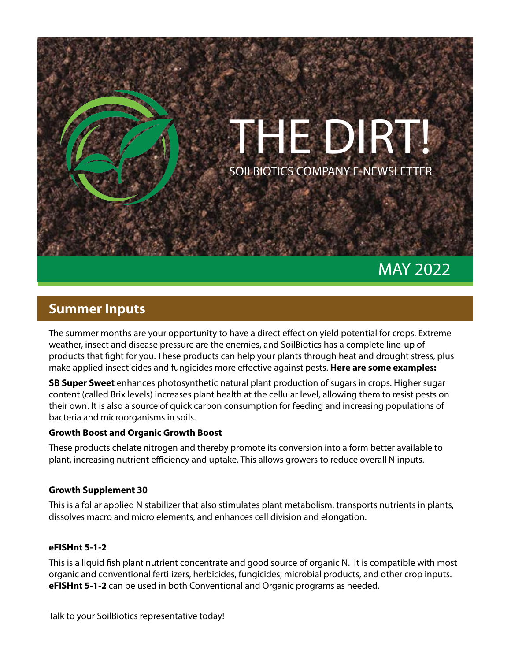

# MAY 2022

### **Summer Inputs**

The summer months are your opportunity to have a direct effect on yield potential for crops. Extreme weather, insect and disease pressure are the enemies, and SoilBiotics has a complete line-up of products that fight for you. These products can help your plants through heat and drought stress, plus make applied insecticides and fungicides more effective against pests. **Here are some examples:**

**SB Super Sweet** enhances photosynthetic natural plant production of sugars in crops. Higher sugar content (called Brix levels) increases plant health at the cellular level, allowing them to resist pests on their own. It is also a source of quick carbon consumption for feeding and increasing populations of bacteria and microorganisms in soils.

#### **Growth Boost and Organic Growth Boost**

These products chelate nitrogen and thereby promote its conversion into a form better available to plant, increasing nutrient efficiency and uptake. This allows growers to reduce overall N inputs.

#### **Growth Supplement 30**

This is a foliar applied N stabilizer that also stimulates plant metabolism, transports nutrients in plants, dissolves macro and micro elements, and enhances cell division and elongation.

#### **eFISHnt 5-1-2**

This is a liquid fish plant nutrient concentrate and good source of organic N. It is compatible with most organic and conventional fertilizers, herbicides, fungicides, microbial products, and other crop inputs. **eFISHnt 5-1-2** can be used in both Conventional and Organic programs as needed.

Talk to your SoilBiotics representative today!